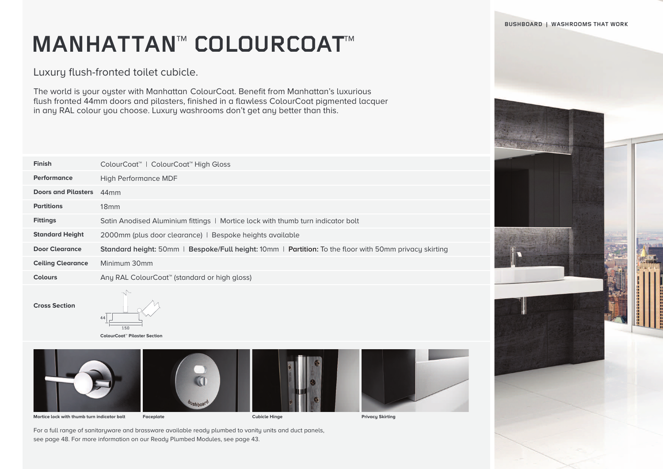**BUSHBOARD | WASHROOMS THAT WORK**

## **MANHATTAN™ COLOURCOAT™**

Luxury flush-fronted toilet cubicle.

The world is your oyster with Manhattan ColourCoat. Benefit from Manhattan's luxurious flush fronted 44mm doors and pilasters, finished in a flawless ColourCoat pigmented lacquer in any RAL colour you choose. Luxury washrooms don't get any better than this.

| <b>Finish</b>            | ColourCoat <sup>™</sup>   ColourCoat™ High Gloss                                                                            |
|--------------------------|-----------------------------------------------------------------------------------------------------------------------------|
| Performance              | High Performance MDF                                                                                                        |
| Doors and Pilasters 44mm |                                                                                                                             |
| <b>Partitions</b>        | 18 <sub>mm</sub>                                                                                                            |
| <b>Fittings</b>          | Satin Anodised Aluminium fittings   Mortice lock with thumb turn indicator bolt                                             |
| <b>Standard Height</b>   | 2000mm (plus door clearance)   Bespoke heights available                                                                    |
| Door Clearance           | <b>Standard height:</b> 50mm   <b>Bespoke/Full height:</b> 10mm   <b>Partition:</b> To the floor with 50mm privacy skirting |
| <b>Ceiling Clearance</b> | Minimum 30mm                                                                                                                |
| <b>Colours</b>           | Any RAL ColourCoat <sup>™</sup> (standard or high gloss)                                                                    |
|                          |                                                                                                                             |

**Cross Section**



**ColourCoat™ Pilaster Section**









**Mortice lock with thumb turn indicator bolt Faceplate Cubicle Hinge Privacy Skirting**

For a full range of sanitaryware and brassware available ready plumbed to vanity units and duct panels, see page 48. For more information on our Ready Plumbed Modules, see page 43.